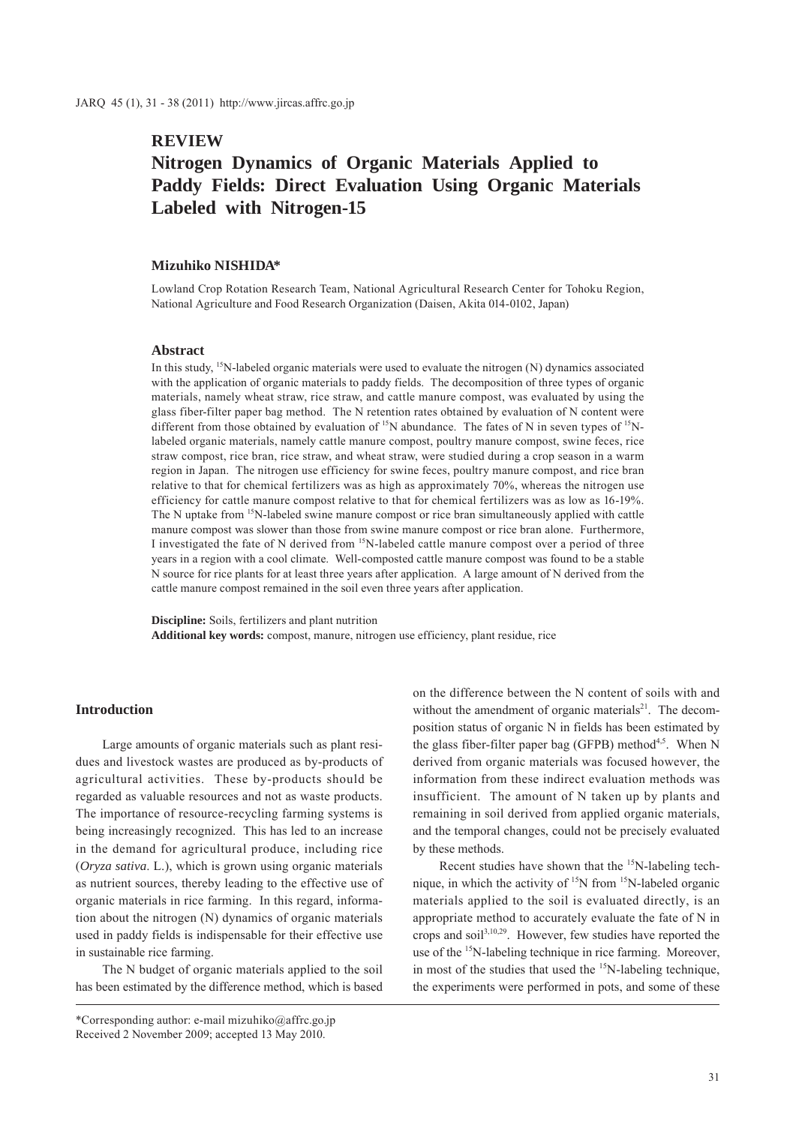# **REVIEW**

# **Nitrogen Dynamics of Organic Materials Applied to Paddy Fields: Direct Evaluation Using Organic Materials Labeled with Nitrogen-15**

### **Mizuhiko NISHIDA\***

Lowland Crop Rotation Research Team, National Agricultural Research Center for Tohoku Region, National Agriculture and Food Research Organization (Daisen, Akita 014-0102, Japan)

#### **Abstract**

In this study,  $15$ N-labeled organic materials were used to evaluate the nitrogen (N) dynamics associated with the application of organic materials to paddy fields. The decomposition of three types of organic materials, namely wheat straw, rice straw, and cattle manure compost, was evaluated by using the glass fiber-filter paper bag method. The N retention rates obtained by evaluation of N content were different from those obtained by evaluation of <sup>15</sup>N abundance. The fates of N in seven types of <sup>15</sup>Nlabeled organic materials, namely cattle manure compost, poultry manure compost, swine feces, rice straw compost, rice bran, rice straw, and wheat straw, were studied during a crop season in a warm region in Japan. The nitrogen use efficiency for swine feces, poultry manure compost, and rice bran relative to that for chemical fertilizers was as high as approximately 70%, whereas the nitrogen use efficiency for cattle manure compost relative to that for chemical fertilizers was as low as 16-19%. The N uptake from 15N-labeled swine manure compost or rice bran simultaneously applied with cattle manure compost was slower than those from swine manure compost or rice bran alone. Furthermore, I investigated the fate of N derived from 15N-labeled cattle manure compost over a period of three years in a region with a cool climate. Well-composted cattle manure compost was found to be a stable N source for rice plants for at least three years after application. A large amount of N derived from the cattle manure compost remained in the soil even three years after application.

**Discipline:** Soils, fertilizers and plant nutrition **Additional key words:** compost, manure, nitrogen use efficiency, plant residue, rice

### **Introduction**

Large amounts of organic materials such as plant residues and livestock wastes are produced as by-products of agricultural activities. These by-products should be regarded as valuable resources and not as waste products. The importance of resource-recycling farming systems is being increasingly recognized. This has led to an increase in the demand for agricultural produce, including rice (*Oryza sativa*. L.), which is grown using organic materials as nutrient sources, thereby leading to the effective use of organic materials in rice farming. In this regard, information about the nitrogen (N) dynamics of organic materials used in paddy fields is indispensable for their effective use in sustainable rice farming.

The N budget of organic materials applied to the soil has been estimated by the difference method, which is based

\*Corresponding author: e-mail mizuhiko@affrc.go.jp Received 2 November 2009; accepted 13 May 2010.

on the difference between the N content of soils with and without the amendment of organic materials $^{21}$ . The decomposition status of organic N in fields has been estimated by the glass fiber-filter paper bag (GFPB) method<sup>4,5</sup>. When N derived from organic materials was focused however, the information from these indirect evaluation methods was insufficient. The amount of N taken up by plants and remaining in soil derived from applied organic materials, and the temporal changes, could not be precisely evaluated by these methods.

Recent studies have shown that the <sup>15</sup>N-labeling technique, in which the activity of  $15N$  from  $15N$ -labeled organic materials applied to the soil is evaluated directly, is an appropriate method to accurately evaluate the fate of N in crops and soil<sup>3,10,29</sup>. However, few studies have reported the use of the <sup>15</sup>N-labeling technique in rice farming. Moreover, in most of the studies that used the  $15N$ -labeling technique, the experiments were performed in pots, and some of these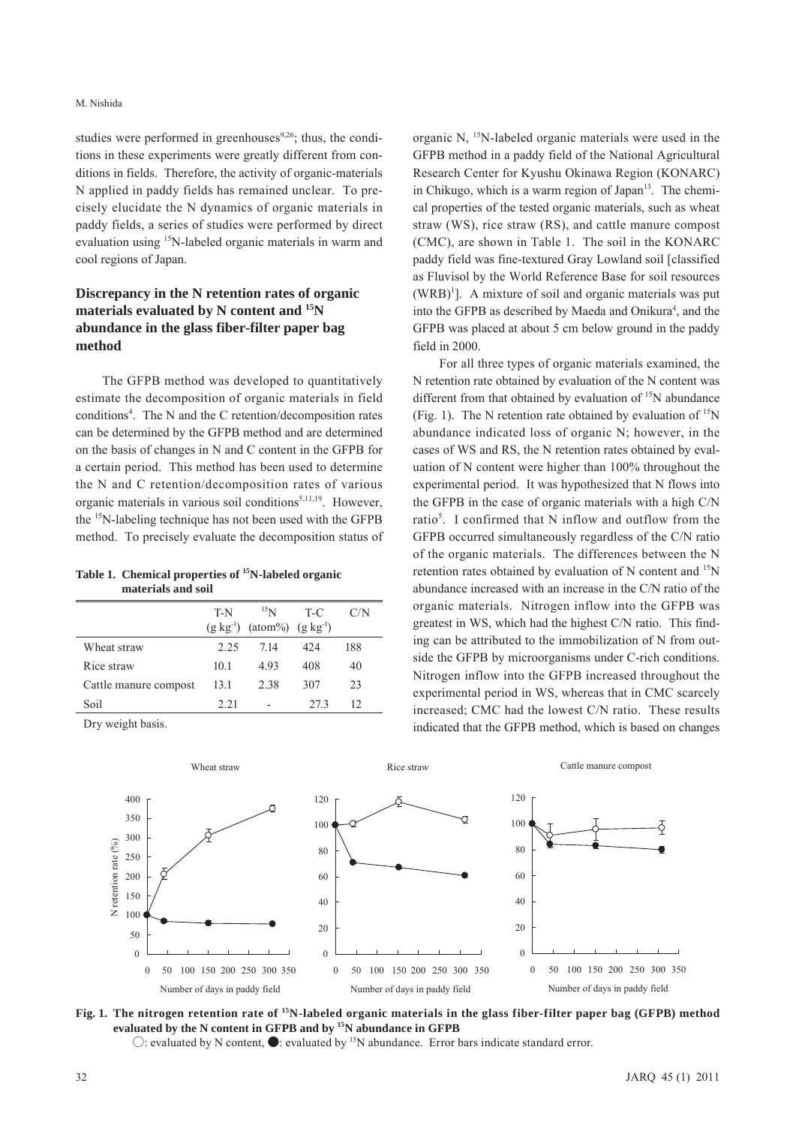studies were performed in greenhouses $9,26$ ; thus, the conditions in these experiments were greatly different from conditions in fields. Therefore, the activity of organic-materials N applied in paddy fields has remained unclear. To precisely elucidate the N dynamics of organic materials in paddy fields, a series of studies were performed by direct evaluation using 15N-labeled organic materials in warm and cool regions of Japan.

# **Discrepancy in the N retention rates of organic materials evaluated by N content and 15N abundance in the glass fiber-filter paper bag method**

The GFPB method was developed to quantitatively estimate the decomposition of organic materials in field conditions<sup>4</sup>. The N and the C retention/decomposition rates can be determined by the GFPB method and are determined on the basis of changes in N and C content in the GFPB for a certain period. This method has been used to determine the N and C retention/decomposition rates of various organic materials in various soil conditions<sup>5,11,19</sup>. However, the 15N-labeling technique has not been used with the GFPB method. To precisely evaluate the decomposition status of

**Table 1. Chemical properties of 15N-labeled organic materials and soil**

|                       | T-N  | $^{15}$ N                                 | $T-C$ | C/N |
|-----------------------|------|-------------------------------------------|-------|-----|
|                       |      | $(g \, kg^{-1})$ (atom%) $(g \, kg^{-1})$ |       |     |
| Wheat straw           | 225  | 714                                       | 42.4  | 188 |
| Rice straw            | 10.1 | 493                                       | 408   | 40  |
| Cattle manure compost | 13.1 | 2.38                                      | 307   | 23  |
| Soil                  | 2.21 |                                           | 273   | 12  |

Wheat straw

Dry weight basis.

organic N, 15N-labeled organic materials were used in the GFPB method in a paddy field of the National Agricultural Research Center for Kyushu Okinawa Region (KONARC) in Chikugo, which is a warm region of Japan<sup>13</sup>. The chemical properties of the tested organic materials, such as wheat straw (WS), rice straw (RS), and cattle manure compost (CMC), are shown in Table 1. The soil in the KONARC paddy field was fine-textured Gray Lowland soil [classified as Fluvisol by the World Reference Base for soil resources  $(WRB)^{1}$ ]. A mixture of soil and organic materials was put into the GFPB as described by Maeda and Onikura<sup>4</sup>, and the GFPB was placed at about 5 cm below ground in the paddy field in 2000.

For all three types of organic materials examined, the N retention rate obtained by evaluation of the N content was different from that obtained by evaluation of <sup>15</sup>N abundance (Fig. 1). The N retention rate obtained by evaluation of  $15N$ abundance indicated loss of organic N; however, in the cases of WS and RS, the N retention rates obtained by evaluation of N content were higher than 100% throughout the experimental period. It was hypothesized that N flows into the GFPB in the case of organic materials with a high C/N ratio<sup>5</sup>. I confirmed that N inflow and outflow from the GFPB occurred simultaneously regardless of the C/N ratio of the organic materials. The differences between the N retention rates obtained by evaluation of N content and <sup>15</sup>N abundance increased with an increase in the C/N ratio of the organic materials. Nitrogen inflow into the GFPB was greatest in WS, which had the highest C/N ratio. This finding can be attributed to the immobilization of N from outside the GFPB by microorganisms under C-rich conditions. Nitrogen inflow into the GFPB increased throughout the experimental period in WS, whereas that in CMC scarcely increased; CMC had the lowest C/N ratio. These results indicated that the GFPB method, which is based on changes

Cattle manure compost



**Fig. 1. The nitrogen retention rate of 15N-labeled organic materials in the glass fiber-filter paper bag (GFPB) method evaluated by the N content in GFPB and by 15N abundance in GFPB**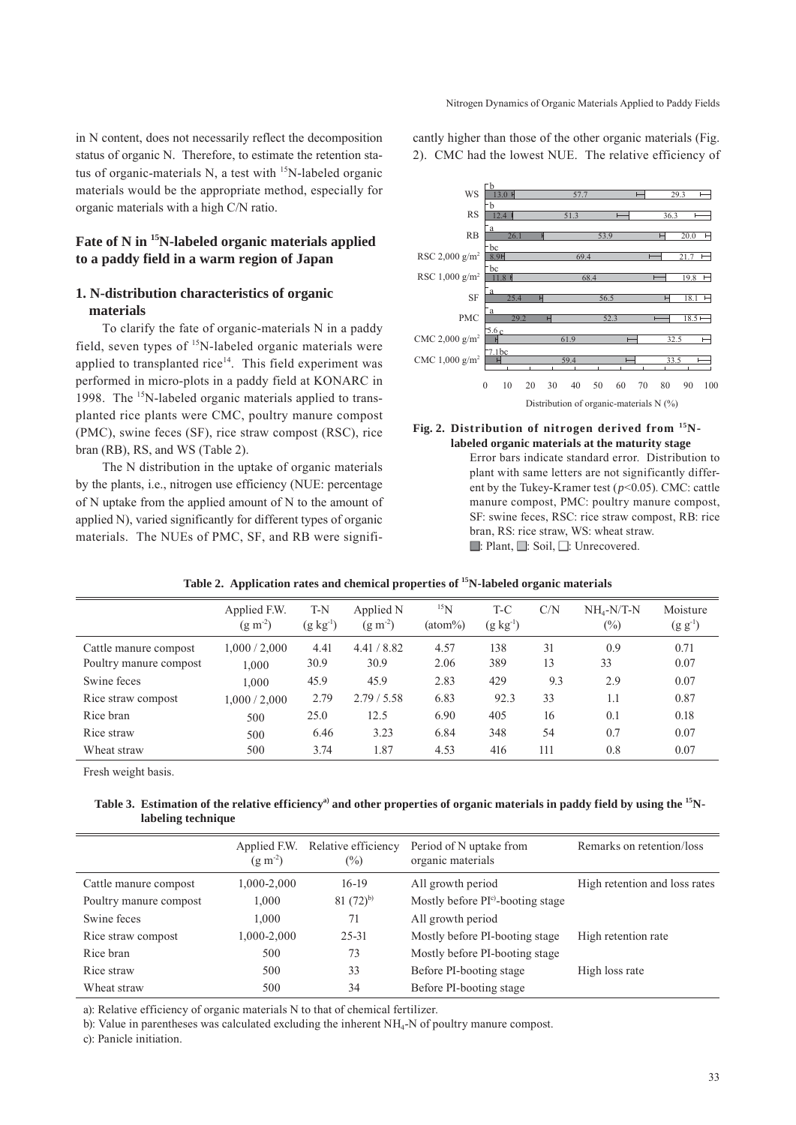in N content, does not necessarily reflect the decomposition status of organic N. Therefore, to estimate the retention status of organic-materials N, a test with <sup>15</sup>N-labeled organic materials would be the appropriate method, especially for organic materials with a high C/N ratio.

# **Fate of N in 15N-labeled organic materials applied to a paddy field in a warm region of Japan**

## **1. N-distribution characteristics of organic materials**

To clarify the fate of organic-materials N in a paddy field, seven types of 15N-labeled organic materials were applied to transplanted rice<sup>14</sup>. This field experiment was performed in micro-plots in a paddy field at KONARC in 1998. The <sup>15</sup>N-labeled organic materials applied to transplanted rice plants were CMC, poultry manure compost (PMC), swine feces (SF), rice straw compost (RSC), rice bran (RB), RS, and WS (Table 2).

The N distribution in the uptake of organic materials by the plants, i.e., nitrogen use efficiency (NUE: percentage of N uptake from the applied amount of N to the amount of applied N), varied significantly for different types of organic materials. The NUEs of PMC, SF, and RB were significantly higher than those of the other organic materials (Fig. 2). CMC had the lowest NUE. The relative efficiency of



#### **Fig. 2. Distribution of nitrogen derived from 15Nlabeled organic materials at the maturity stage**

Error bars indicate standard error. Distribution to plant with same letters are not significantly different by the Tukey-Kramer test (*p*<0.05). CMC: cattle manure compost, PMC: poultry manure compost, SF: swine feces, RSC: rice straw compost, RB: rice bran, RS: rice straw, WS: wheat straw. ■: Plant, ■: Soil, ■: Unrecovered.

|                        | Applied F.W.<br>$(g m^{-2})$ | T-N<br>$(g \ kg^{-1})$ | Applied N<br>$(g m-2)$ | 15 <sub>N</sub><br>$(atom\%)$ | T-C<br>$(g kg-1)$ | C/N | $NH4-N/T-N$<br>$(\%)$ | Moisture<br>$(g g^{-1})$ |
|------------------------|------------------------------|------------------------|------------------------|-------------------------------|-------------------|-----|-----------------------|--------------------------|
| Cattle manure compost  | 1,000/2,000                  | 4.41                   | 4.41 / 8.82            | 4.57                          | 138               | 31  | 0.9                   | 0.71                     |
| Poultry manure compost | 1.000                        | 30.9                   | 30.9                   | 2.06                          | 389               | 13  | 33                    | 0.07                     |
| Swine feces            | 1.000                        | 45.9                   | 45.9                   | 2.83                          | 429               | 9.3 | 2.9                   | 0.07                     |
| Rice straw compost     | 0.000 / 2,000                | 2.79                   | 2.79/5.58              | 6.83                          | 92.3              | 33  | 1.1                   | 0.87                     |
| Rice bran              | 500                          | 25.0                   | 12.5                   | 6.90                          | 405               | 16  | 0.1                   | 0.18                     |
| Rice straw             | 500                          | 6.46                   | 3.23                   | 6.84                          | 348               | 54  | 0.7                   | 0.07                     |
| Wheat straw            | 500                          | 3.74                   | 1.87                   | 4.53                          | 416               | 111 | 0.8                   | 0.07                     |

### **Table 2. Application rates and chemical properties of 15N-labeled organic materials**

Fresh weight basis.

### Table 3. Estimation of the relative efficiency<sup>a)</sup> and other properties of organic materials in paddy field by using the <sup>15</sup>N**labeling technique**

|                        | Applied F.W.<br>$(g m^{-2})$ | Relative efficiency<br>$(\%)$ | Period of N uptake from<br>organic materials | Remarks on retention/loss     |
|------------------------|------------------------------|-------------------------------|----------------------------------------------|-------------------------------|
| Cattle manure compost  | 1,000-2,000                  | $16-19$                       | All growth period                            | High retention and loss rates |
| Poultry manure compost | 1,000                        | $81(72)$ <sup>b)</sup>        | Mostly before PI <sup>c</sup> -booting stage |                               |
| Swine feces            | 1.000                        | 71                            | All growth period                            |                               |
| Rice straw compost     | 1,000-2,000                  | 25-31                         | Mostly before PI-booting stage               | High retention rate           |
| Rice bran              | 500                          | 73                            | Mostly before PI-booting stage               |                               |
| Rice straw             | 500                          | 33                            | Before PI-booting stage                      | High loss rate                |
| Wheat straw            | 500                          | 34                            | Before PI-booting stage                      |                               |

a): Relative efficiency of organic materials N to that of chemical fertilizer.

b): Value in parentheses was calculated excluding the inherent NH4-N of poultry manure compost.

c): Panicle initiation.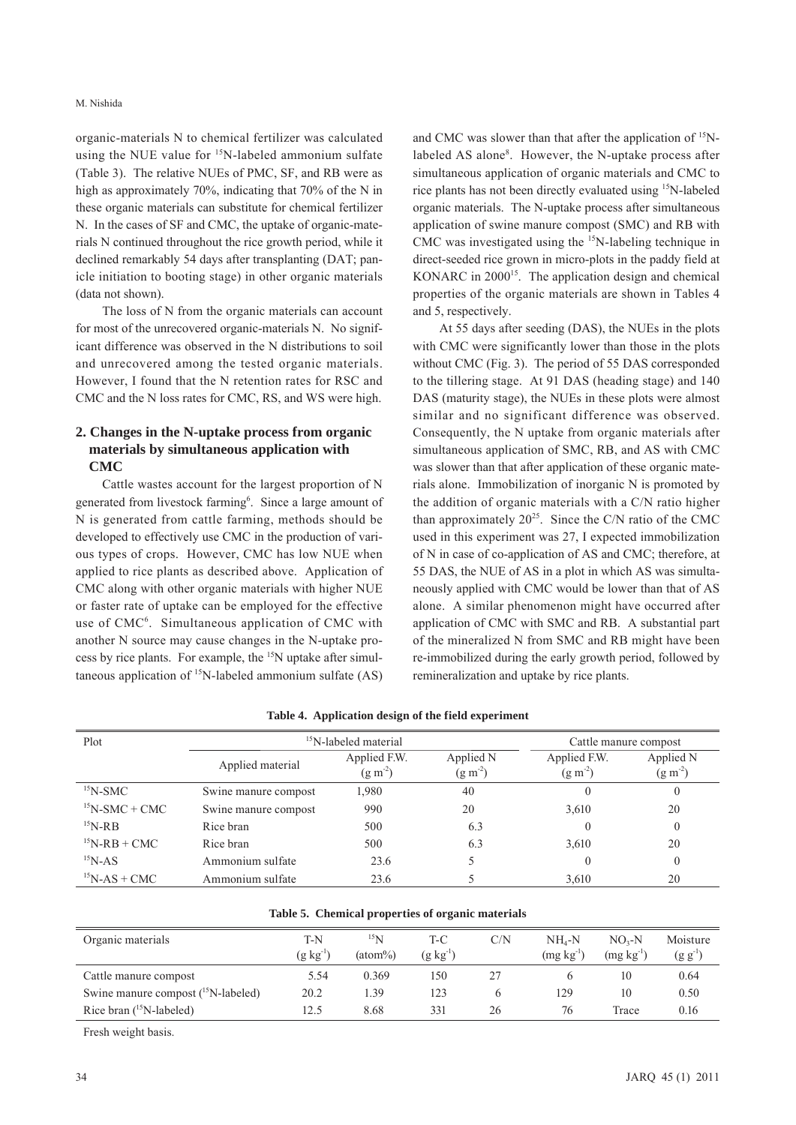#### M. Nishida

organic-materials N to chemical fertilizer was calculated using the NUE value for  $15N$ -labeled ammonium sulfate (Table 3). The relative NUEs of PMC, SF, and RB were as high as approximately 70%, indicating that 70% of the N in these organic materials can substitute for chemical fertilizer N. In the cases of SF and CMC, the uptake of organic-materials N continued throughout the rice growth period, while it declined remarkably 54 days after transplanting (DAT; panicle initiation to booting stage) in other organic materials (data not shown).

The loss of N from the organic materials can account for most of the unrecovered organic-materials N. No significant difference was observed in the N distributions to soil and unrecovered among the tested organic materials. However, I found that the N retention rates for RSC and CMC and the N loss rates for CMC, RS, and WS were high.

# **2. Changes in the N-uptake process from organic materials by simultaneous application with CMC**

Cattle wastes account for the largest proportion of N generated from livestock farming<sup>6</sup>. Since a large amount of N is generated from cattle farming, methods should be developed to effectively use CMC in the production of various types of crops. However, CMC has low NUE when applied to rice plants as described above. Application of CMC along with other organic materials with higher NUE or faster rate of uptake can be employed for the effective use of CMC<sup>6</sup>. Simultaneous application of CMC with another N source may cause changes in the N-uptake process by rice plants. For example, the 15N uptake after simultaneous application of  $^{15}N$ -labeled ammonium sulfate (AS)

and CMC was slower than that after the application of <sup>15</sup>Nlabeled AS alone<sup>8</sup>. However, the N-uptake process after simultaneous application of organic materials and CMC to rice plants has not been directly evaluated using 15N-labeled organic materials. The N-uptake process after simultaneous application of swine manure compost (SMC) and RB with CMC was investigated using the <sup>15</sup>N-labeling technique in direct-seeded rice grown in micro-plots in the paddy field at KONARC in  $2000^{15}$ . The application design and chemical properties of the organic materials are shown in Tables 4 and 5, respectively.

At 55 days after seeding (DAS), the NUEs in the plots with CMC were significantly lower than those in the plots without CMC (Fig. 3). The period of 55 DAS corresponded to the tillering stage. At 91 DAS (heading stage) and 140 DAS (maturity stage), the NUEs in these plots were almost similar and no significant difference was observed. Consequently, the N uptake from organic materials after simultaneous application of SMC, RB, and AS with CMC was slower than that after application of these organic materials alone. Immobilization of inorganic N is promoted by the addition of organic materials with a C/N ratio higher than approximately  $20^{25}$ . Since the C/N ratio of the CMC used in this experiment was 27, I expected immobilization of N in case of co-application of AS and CMC; therefore, at 55 DAS, the NUE of AS in a plot in which AS was simultaneously applied with CMC would be lower than that of AS alone. A similar phenomenon might have occurred after application of CMC with SMC and RB. A substantial part of the mineralized N from SMC and RB might have been re-immobilized during the early growth period, followed by remineralization and uptake by rice plants.

| Plot               | <sup>15</sup> N-labeled material | Cattle manure compost        |                        |                           |                        |
|--------------------|----------------------------------|------------------------------|------------------------|---------------------------|------------------------|
|                    | Applied material                 | Applied F.W.<br>$(g m^{-2})$ | Applied N<br>$(g m-2)$ | Applied F.W.<br>$(g m-2)$ | Applied N<br>$(g m-2)$ |
| $15$ N-SMC         | Swine manure compost             | 1,980                        | 40                     |                           | $\theta$               |
| $15N-SMC + CMC$    | Swine manure compost             | 990                          | 20                     | 3,610                     | 20                     |
| $15$ N-RB          | Rice bran                        | 500                          | 6.3                    |                           | $\Omega$               |
| $15N-RB + CMC$     | Rice bran                        | 500                          | 6.3                    | 3,610                     | 20                     |
| $^{15}N-AS$        | Ammonium sulfate                 | 23.6                         |                        |                           | $\Omega$               |
| $^{15}$ N-AS + CMC | Ammonium sulfate                 | 23.6                         |                        | 3.610                     | 20                     |

**Table 4. Application design of the field experiment**

| Organic materials                        | T-N<br>$(g kg^{-1})$ | $^{15}N$<br>$(atom\%)$ | T-C<br>$(\mathrm{g} \ \mathrm{kg}^{\text{-1}})$ | C/N | NH4-N<br>$(mg kg^{-1})$ | $NO3-N$<br>$(mg kg-1)$ | Moisture<br>$(g g^{-1})$ |
|------------------------------------------|----------------------|------------------------|-------------------------------------------------|-----|-------------------------|------------------------|--------------------------|
| Cattle manure compost                    | 5.54                 | 0.369                  | 150                                             | 27  |                         | 10                     | 0.64                     |
| Swine manure compost $(^{15}N$ -labeled) | 20.2                 | L <sub>39</sub>        | 123                                             |     | 129                     | 10                     | 0.50                     |
| Rice bran $(^{15}N$ -labeled)            | 12.5                 | 8.68                   | 331                                             | 26  | 76                      | Trace                  | 0.16                     |

### **Table 5. Chemical properties of organic materials**

Fresh weight basis.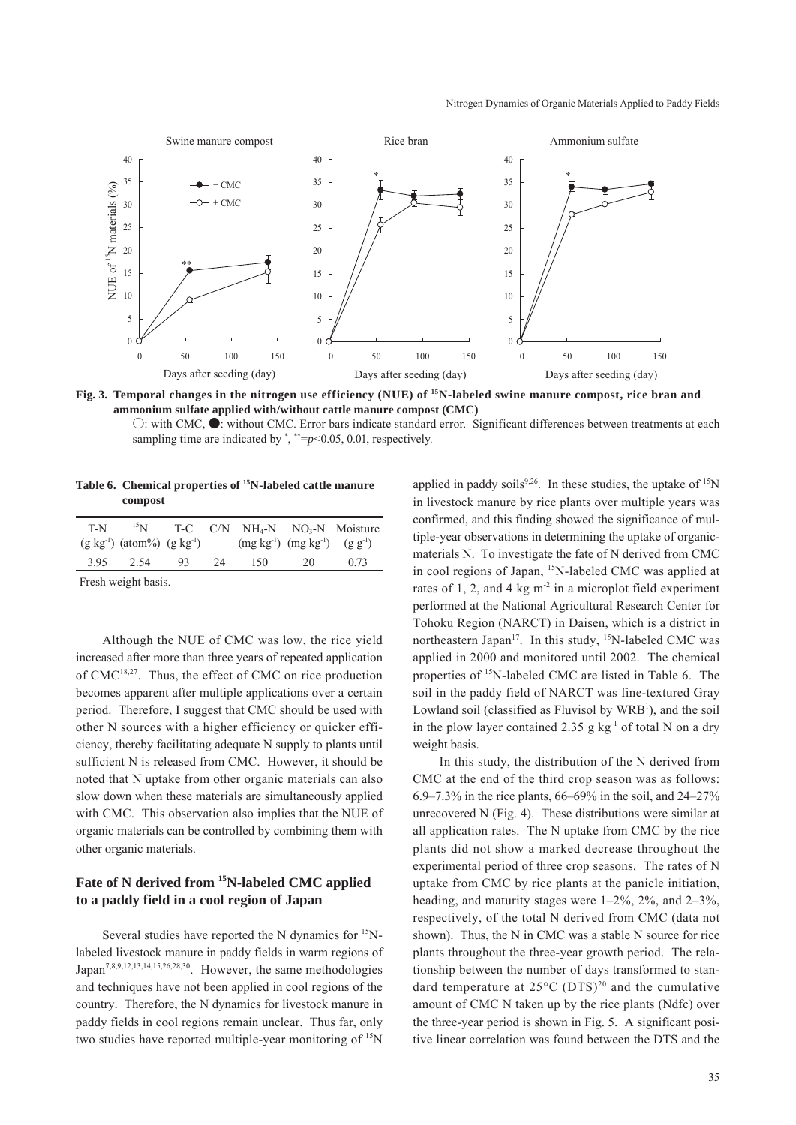

**Fig. 3. Temporal changes in the nitrogen use efficiency (NUE) of 15N-labeled swine manure compost, rice bran and ammonium sulfate applied with/without cattle manure compost (CMC)**

○: with CMC, ●: without CMC. Error bars indicate standard error. Significant differences between treatments at each sampling time are indicated by  $\degree$ ,  $\degree$  = $p$  < 0.05, 0.01, respectively.

**Table 6. Chemical properties of 15N-labeled cattle manure compost**

|                                                     |       |    |                                            |    | $T-N$ <sup>15</sup> N T-C C/N NH <sub>4</sub> -N NO <sub>3</sub> -N Moisture |
|-----------------------------------------------------|-------|----|--------------------------------------------|----|------------------------------------------------------------------------------|
| $(g \text{ kg}^{-1})$ (atom%) $(g \text{ kg}^{-1})$ |       |    | $(mg kg^{-1})$ $(mg kg^{-1})$ $(g g^{-1})$ |    |                                                                              |
| 3.95 2.54                                           | $-93$ | 24 | - 150                                      | 20 | 0.73                                                                         |
| The calculated and the calculated                   |       |    |                                            |    |                                                                              |

Fresh weight basis.

Although the NUE of CMC was low, the rice yield increased after more than three years of repeated application of CMC<sup>18,27</sup>. Thus, the effect of CMC on rice production becomes apparent after multiple applications over a certain period. Therefore, I suggest that CMC should be used with other N sources with a higher efficiency or quicker efficiency, thereby facilitating adequate N supply to plants until sufficient N is released from CMC. However, it should be noted that N uptake from other organic materials can also slow down when these materials are simultaneously applied with CMC. This observation also implies that the NUE of organic materials can be controlled by combining them with other organic materials.

## **Fate of N derived from 15N-labeled CMC applied to a paddy field in a cool region of Japan**

Several studies have reported the N dynamics for <sup>15</sup>Nlabeled livestock manure in paddy fields in warm regions of Japan7,8,9,12,13,14,15,26,28,30. However, the same methodologies and techniques have not been applied in cool regions of the country. Therefore, the N dynamics for livestock manure in paddy fields in cool regions remain unclear. Thus far, only two studies have reported multiple-year monitoring of <sup>15</sup>N

applied in paddy soils<sup>9,26</sup>. In these studies, the uptake of  $15N$ in livestock manure by rice plants over multiple years was confirmed, and this finding showed the significance of multiple-year observations in determining the uptake of organicmaterials N. To investigate the fate of N derived from CMC in cool regions of Japan, <sup>15</sup>N-labeled CMC was applied at rates of 1, 2, and 4 kg  $m<sup>2</sup>$  in a microplot field experiment performed at the National Agricultural Research Center for Tohoku Region (NARCT) in Daisen, which is a district in northeastern Japan<sup>17</sup>. In this study,  $15N$ -labeled CMC was applied in 2000 and monitored until 2002. The chemical properties of <sup>15</sup>N-labeled CMC are listed in Table 6. The soil in the paddy field of NARCT was fine-textured Gray Lowland soil (classified as Fluvisol by WRB<sup>1</sup>), and the soil in the plow layer contained 2.35 g  $kg^{-1}$  of total N on a dry weight basis.

In this study, the distribution of the N derived from CMC at the end of the third crop season was as follows: 6.9–7.3% in the rice plants, 66–69% in the soil, and 24–27% unrecovered N (Fig. 4). These distributions were similar at all application rates. The N uptake from CMC by the rice plants did not show a marked decrease throughout the experimental period of three crop seasons. The rates of N uptake from CMC by rice plants at the panicle initiation, heading, and maturity stages were  $1-2\%$ ,  $2\%$ , and  $2-3\%$ , respectively, of the total N derived from CMC (data not shown). Thus, the N in CMC was a stable N source for rice plants throughout the three-year growth period. The relationship between the number of days transformed to standard temperature at  $25^{\circ}$ C (DTS)<sup>20</sup> and the cumulative amount of CMC N taken up by the rice plants (Ndfc) over the three-year period is shown in Fig. 5. A significant positive linear correlation was found between the DTS and the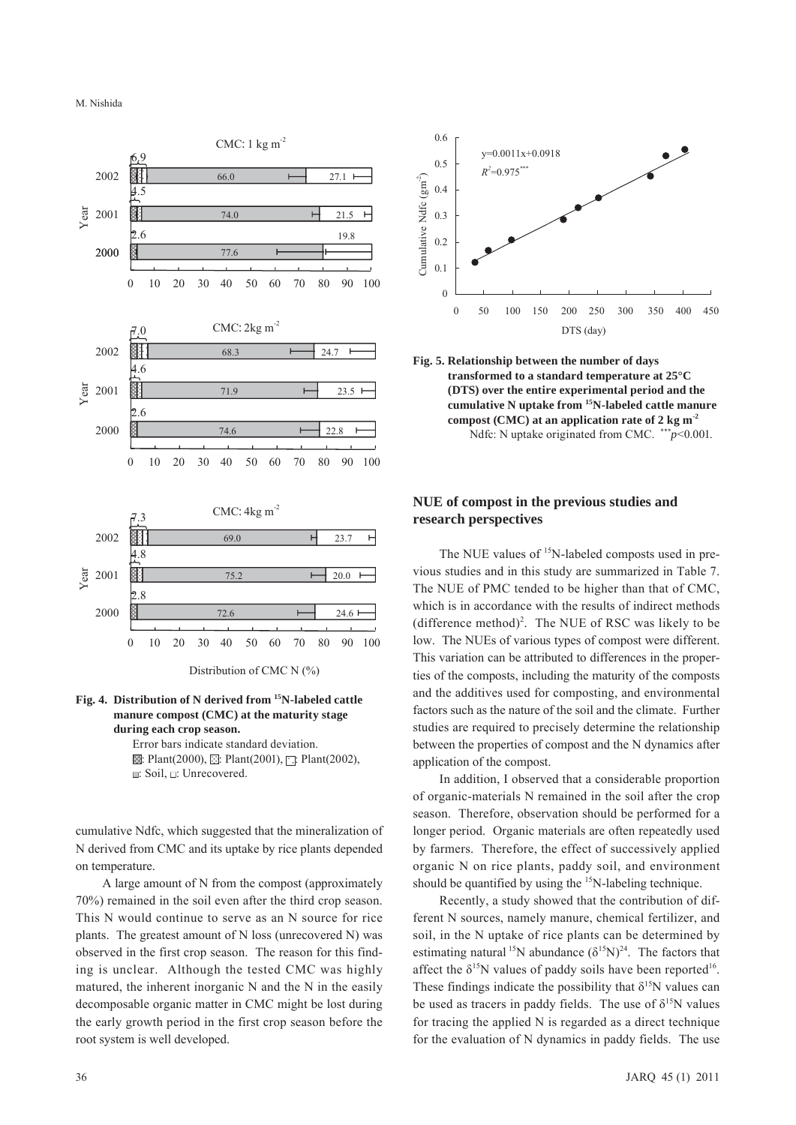M. Nishida





### **Fig. 4. Distribution of N derived from 15N-labeled cattle manure compost (CMC) at the maturity stage during each crop season.**

Error bars indicate standard deviation.  $\mathbb{Z}$ : Plant(2000),  $\mathbb{Z}$ : Plant(2001),  $\Box$ : Plant(2002), ■: Soil, ■: Unrecovered.

cumulative Ndfc, which suggested that the mineralization of N derived from CMC and its uptake by rice plants depended on temperature.

A large amount of N from the compost (approximately 70%) remained in the soil even after the third crop season. This N would continue to serve as an N source for rice plants. The greatest amount of N loss (unrecovered N) was observed in the first crop season. The reason for this finding is unclear. Although the tested CMC was highly matured, the inherent inorganic N and the N in the easily decomposable organic matter in CMC might be lost during the early growth period in the first crop season before the root system is well developed.





# **NUE of compost in the previous studies and research perspectives**

The NUE values of <sup>15</sup>N-labeled composts used in previous studies and in this study are summarized in Table 7. The NUE of PMC tended to be higher than that of CMC, which is in accordance with the results of indirect methods  $(difference method)<sup>2</sup>$ . The NUE of RSC was likely to be low. The NUEs of various types of compost were different. This variation can be attributed to differences in the properties of the composts, including the maturity of the composts and the additives used for composting, and environmental factors such as the nature of the soil and the climate. Further studies are required to precisely determine the relationship between the properties of compost and the N dynamics after application of the compost.

In addition, I observed that a considerable proportion of organic-materials N remained in the soil after the crop season. Therefore, observation should be performed for a longer period. Organic materials are often repeatedly used by farmers. Therefore, the effect of successively applied organic N on rice plants, paddy soil, and environment should be quantified by using the <sup>15</sup>N-labeling technique.

Recently, a study showed that the contribution of different N sources, namely manure, chemical fertilizer, and soil, in the N uptake of rice plants can be determined by estimating natural <sup>15</sup>N abundance  $(\delta^{15}N)^{24}$ . The factors that affect the  $\delta^{15}N$  values of paddy soils have been reported<sup>16</sup>. These findings indicate the possibility that  $\delta^{15}N$  values can be used as tracers in paddy fields. The use of  $\delta^{15}N$  values for tracing the applied N is regarded as a direct technique for the evaluation of N dynamics in paddy fields. The use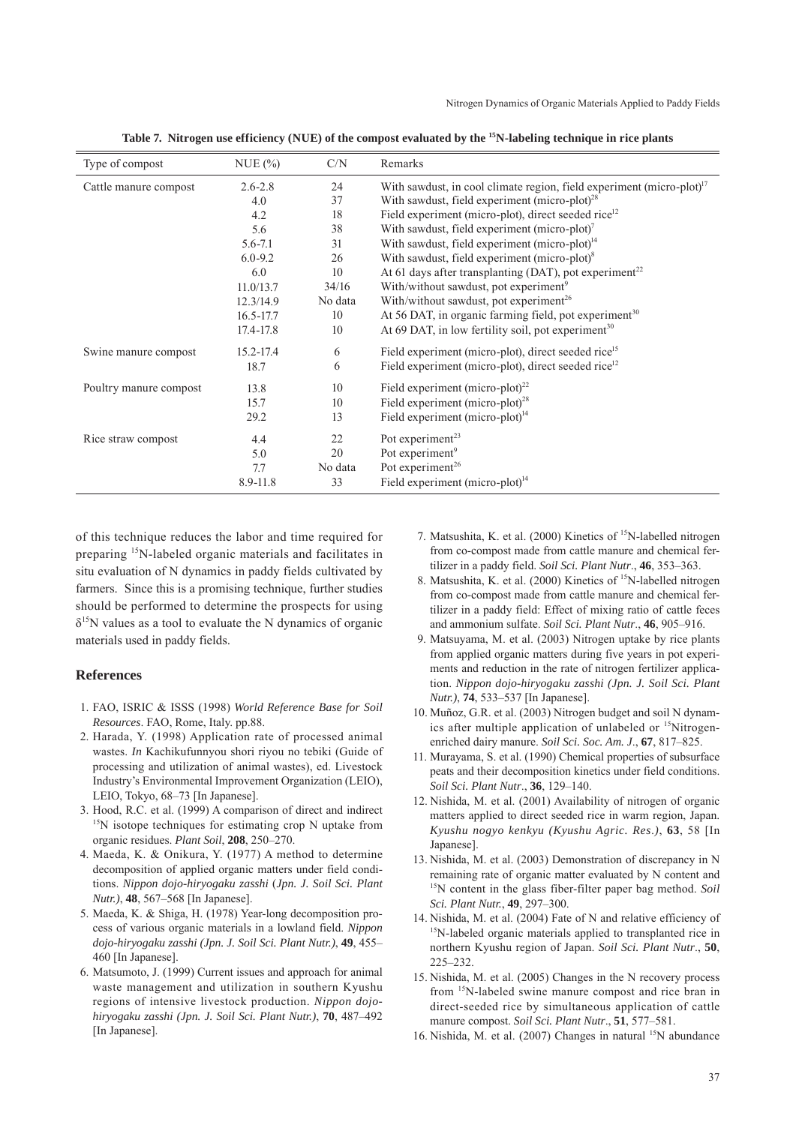| Type of compost        | NUE(%)        | C/N     | Remarks                                                                  |
|------------------------|---------------|---------|--------------------------------------------------------------------------|
| Cattle manure compost  | $2.6 - 2.8$   | 24      | With sawdust, in cool climate region, field experiment (micro-plot) $17$ |
|                        | 4.0           | 37      | With sawdust, field experiment (micro-plot) <sup>28</sup>                |
|                        | 4.2           | 18      | Field experiment (micro-plot), direct seeded rice <sup>12</sup>          |
|                        | 5.6           | 38      | With sawdust, field experiment (micro-plot) $^7$                         |
|                        | $5.6 - 7.1$   | 31      | With sawdust, field experiment (micro-plot) $14$                         |
|                        | $6.0 - 9.2$   | 26      | With sawdust, field experiment (micro-plot) $8$                          |
|                        | 6.0           | 10      | At 61 days after transplanting (DAT), pot experiment <sup>22</sup>       |
|                        | 11.0/13.7     | 34/16   | With/without sawdust, pot experiment <sup>9</sup>                        |
|                        | 12.3/14.9     | No data | With/without sawdust, pot experiment <sup>26</sup>                       |
|                        | $16.5 - 17.7$ | 10      | At 56 DAT, in organic farming field, pot experiment <sup>30</sup>        |
|                        | 17.4-17.8     | 10      | At 69 DAT, in low fertility soil, pot experiment <sup>30</sup>           |
| Swine manure compost   | 15.2-17.4     | 6       | Field experiment (micro-plot), direct seeded rice <sup>15</sup>          |
|                        | 18.7          | 6       | Field experiment (micro-plot), direct seeded rice <sup>12</sup>          |
| Poultry manure compost | 13.8          | 10      | Field experiment (micro-plot) <sup>22</sup>                              |
|                        | 15.7          | 10      | Field experiment (micro-plot) <sup>28</sup>                              |
|                        | 29.2          | 13      | Field experiment (micro-plot) <sup>14</sup>                              |
| Rice straw compost     | 4.4           | 22      | Pot experiment <sup>23</sup>                                             |
|                        | 5.0           | 20      | Pot experiment <sup>9</sup>                                              |
|                        | 7.7           | No data | Pot experiment <sup>26</sup>                                             |
|                        | 8.9-11.8      | 33      | Field experiment (micro-plot) $14$                                       |

**Table 7. Nitrogen use efficiency (NUE) of the compost evaluated by the 15N-labeling technique in rice plants**

of this technique reduces the labor and time required for preparing 15N-labeled organic materials and facilitates in situ evaluation of N dynamics in paddy fields cultivated by farmers. Since this is a promising technique, further studies should be performed to determine the prospects for using  $\delta^{15}$ N values as a tool to evaluate the N dynamics of organic materials used in paddy fields.

### **References**

- 1. FAO, ISRIC & ISSS (1998) *World Reference Base for Soil Resources*. FAO, Rome, Italy. pp.88.
- 2. Harada, Y. (1998) Application rate of processed animal wastes. *In* Kachikufunnyou shori riyou no tebiki (Guide of processing and utilization of animal wastes), ed. Livestock Industry's Environmental Improvement Organization (LEIO), LEIO, Tokyo, 68–73 [In Japanese].
- 3. Hood, R.C. et al. (1999) A comparison of direct and indirect <sup>15</sup>N isotope techniques for estimating crop N uptake from organic residues. *Plant Soil*, **208**, 250–270.
- 4. Maeda, K. & Onikura, Y. (1977) A method to determine decomposition of applied organic matters under field conditions. *Nippon dojo-hiryogaku zasshi* (*Jpn. J. Soil Sci. Plant Nutr.)*, **48**, 567–568 [In Japanese].
- 5. Maeda, K. & Shiga, H. (1978) Year-long decomposition process of various organic materials in a lowland field. *Nippon dojo-hiryogaku zasshi (Jpn. J. Soil Sci. Plant Nutr.)*, **49**, 455– 460 [In Japanese].
- 6. Matsumoto, J. (1999) Current issues and approach for animal waste management and utilization in southern Kyushu regions of intensive livestock production. *Nippon dojohiryogaku zasshi (Jpn. J. Soil Sci. Plant Nutr.)*, **70**, 487–492 [In Japanese].
- 7. Matsushita, K. et al. (2000) Kinetics of 15N-labelled nitrogen from co-compost made from cattle manure and chemical fertilizer in a paddy field. *Soil Sci. Plant Nutr*., **46**, 353–363.
- 8. Matsushita, K. et al. (2000) Kinetics of 15N-labelled nitrogen from co-compost made from cattle manure and chemical fertilizer in a paddy field: Effect of mixing ratio of cattle feces and ammonium sulfate. *Soil Sci. Plant Nutr*., **46**, 905–916.
- 9. Matsuyama, M. et al. (2003) Nitrogen uptake by rice plants from applied organic matters during five years in pot experiments and reduction in the rate of nitrogen fertilizer application. *Nippon dojo-hiryogaku zasshi (Jpn. J. Soil Sci. Plant Nutr.)*, **74**, 533–537 [In Japanese].
- 10. Muñoz, G.R. et al. (2003) Nitrogen budget and soil N dynamics after multiple application of unlabeled or  $15$ Nitrogenenriched dairy manure. *Soil Sci. Soc. Am. J*., **67**, 817–825.
- 11. Murayama, S. et al. (1990) Chemical properties of subsurface peats and their decomposition kinetics under field conditions. *Soil Sci. Plant Nutr*., **36**, 129–140.
- 12. Nishida, M. et al. (2001) Availability of nitrogen of organic matters applied to direct seeded rice in warm region, Japan. *Kyushu nogyo kenkyu (Kyushu Agric. Res*.*)*, **63**, 58 [In Japanese].
- 13. Nishida, M. et al. (2003) Demonstration of discrepancy in N remaining rate of organic matter evaluated by N content and <sup>15</sup>N content in the glass fiber-filter paper bag method. *Soil Sci. Plant Nutr.*, **49**, 297–300.
- 14. Nishida, M. et al. (2004) Fate of N and relative efficiency of  $15$ N-labeled organic materials applied to transplanted rice in northern Kyushu region of Japan. *Soil Sci. Plant Nutr*., **50**, 225–232.
- 15. Nishida, M. et al. (2005) Changes in the N recovery process from 15N-labeled swine manure compost and rice bran in direct-seeded rice by simultaneous application of cattle manure compost. *Soil Sci. Plant Nutr*., **51**, 577–581.
- 16. Nishida, M. et al. (2007) Changes in natural 15N abundance